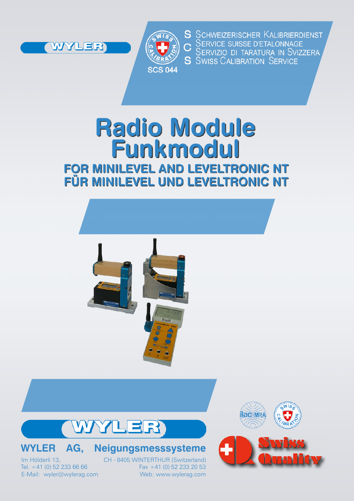



S SCHWEIZERISCHER KALIBRIERDIENST SERVICE SUISSE D'ETALONNAGE<br>SERVICE SUISSE D'ETALONNAGE<br>SERVIZIO DI TARATURA IN SVIZZERA **S** SWISS CALIBRATION SERVICE

# **Radio Module Funkmodul FOR MINILEVEL AND LEVELTRONIC NT FÜR MINILEVEL UND LEVELTRONIC NT**





## **WYLER AG, Neigungsmesssysteme**

Tel.  $+41$  (0) 52 233 66 66

Im Hölderli 13, CH - 8405 WINTERTHUR (Switzerland)<br>Tel. +41 (0) 52 233 66 66 Fax +41 (0) 52 233 20 53 E-Mail: wyler@wylerag.com Web: www.wylerag.com